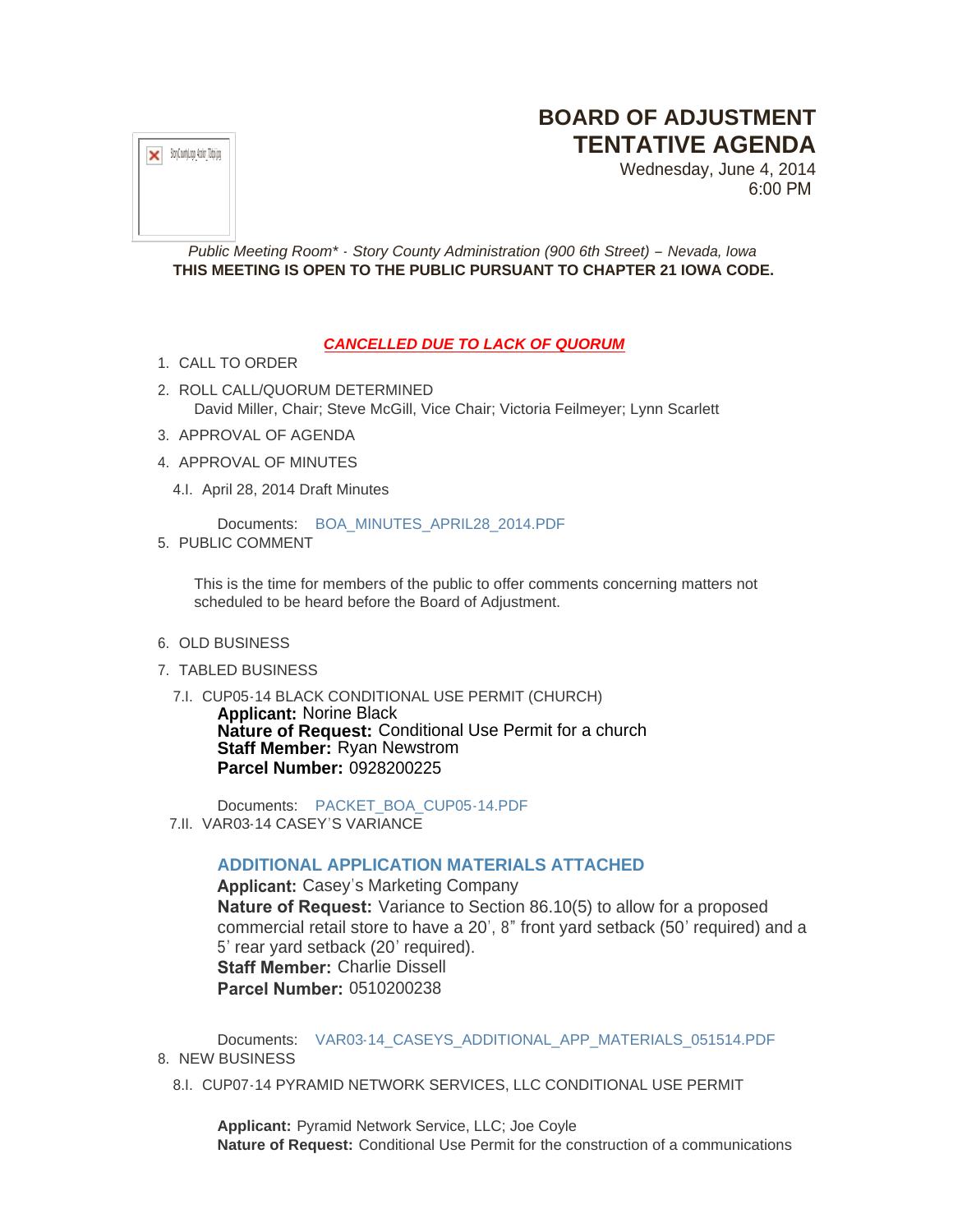## **BOARD OF ADJUSTMENT TENTATIVE AGENDA**

 $\mathbf{x}$  StoyCountyLogo\_4color\_72dpi.jpg

Wednesday, June 4, 2014 6:00 PM

*Public Meeting Room\* - Story County Administration (900 6th Street) – Nevada, Iowa* **THIS MEETING IS OPEN TO THE PUBLIC PURSUANT TO CHAPTER 21 IOWA CODE.**

## *CANCELLED DUE TO LACK OF QUORUM*

- 1. CALL TO ORDER
- 2. ROLL CALL/QUORUM DETERMINED David Miller, Chair; Steve McGill, Vice Chair; Victoria Feilmeyer; Lynn Scarlett
- 3. APPROVAL OF AGENDA
- 4. APPROVAL OF MINUTES
	- 4.I. April 28, 2014 Draft Minutes

Documents: [BOA\\_MINUTES\\_APRIL28\\_2014.PDF](http://www.storycountyiowa.gov/AgendaCenter/ViewFile/Item/3157?fileID=2432)

5. PUBLIC COMMENT

This is the time for members of the public to offer comments concerning matters not scheduled to be heard before the Board of Adjustment.

- 6. OLD BUSINESS
- 7. TABLED BUSINESS
- 7.I. CUP05-14 BLACK CONDITIONAL USE PERMIT (CHURCH)

**Applicant:** Norine Black **Nature of Request:** Conditional Use Permit for a church **Staff Member:** Ryan Newstrom **Parcel Number:** 0928200225

Documents: [PACKET\\_BOA\\_CUP05-14.PDF](http://www.storycountyiowa.gov/AgendaCenter/ViewFile/Item/3156?fileID=2468) 7.II. VAR03-14 CASEY'S VARIANCE

## **ADDITIONAL APPLICATION MATERIALS ATTACHED**

**Applicant:** Casey's Marketing Company **Nature of Request:** Variance to Section 86.10(5) to allow for a proposed commercial retail store to have a 20', 8" front yard setback (50' required) and a 5' rear yard setback (20' required). **Staff Member:** Charlie Dissell **Parcel Number:** 0510200238

Documents: [VAR03-14\\_CASEYS\\_ADDITIONAL\\_APP\\_MATERIALS\\_051514.PDF](http://www.storycountyiowa.gov/AgendaCenter/ViewFile/Item/3209?fileID=2472) 8. NEW BUSINESS

8.I. CUP07-14 PYRAMID NETWORK SERVICES, LLC CONDITIONAL USE PERMIT

**Applicant:** Pyramid Network Service, LLC; Joe Coyle **Nature of Request:** Conditional Use Permit for the construction of a communications